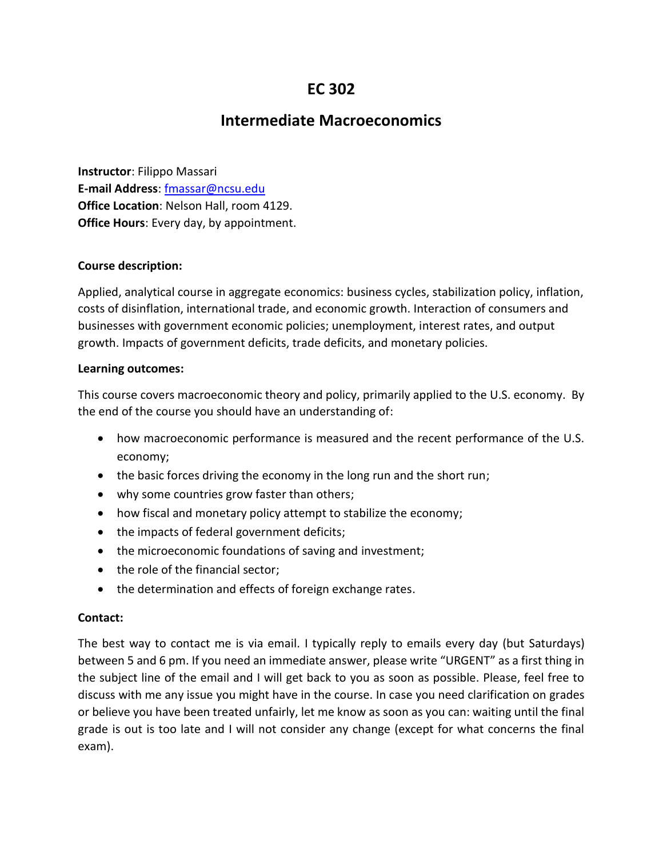# **EC 302**

# **Intermediate Macroeconomics**

**Instructor**: Filippo Massari **E-mail Address**: [fmassar@ncsu.edu](mailto:fmassar@ncsu.edu) **Office Location**: Nelson Hall, room 4129. **Office Hours**: Every day, by appointment.

## **Course description:**

Applied, analytical course in aggregate economics: business cycles, stabilization policy, inflation, costs of disinflation, international trade, and economic growth. Interaction of consumers and businesses with government economic policies; unemployment, interest rates, and output growth. Impacts of government deficits, trade deficits, and monetary policies.

## **Learning outcomes:**

This course covers macroeconomic theory and policy, primarily applied to the U.S. economy. By the end of the course you should have an understanding of:

- how macroeconomic performance is measured and the recent performance of the U.S. economy;
- the basic forces driving the economy in the long run and the short run;
- why some countries grow faster than others;
- how fiscal and monetary policy attempt to stabilize the economy;
- the impacts of federal government deficits;
- the microeconomic foundations of saving and investment;
- the role of the financial sector;
- the determination and effects of foreign exchange rates.

#### **Contact:**

The best way to contact me is via email. I typically reply to emails every day (but Saturdays) between 5 and 6 pm. If you need an immediate answer, please write "URGENT" as a first thing in the subject line of the email and I will get back to you as soon as possible. Please, feel free to discuss with me any issue you might have in the course. In case you need clarification on grades or believe you have been treated unfairly, let me know as soon as you can: waiting until the final grade is out is too late and I will not consider any change (except for what concerns the final exam).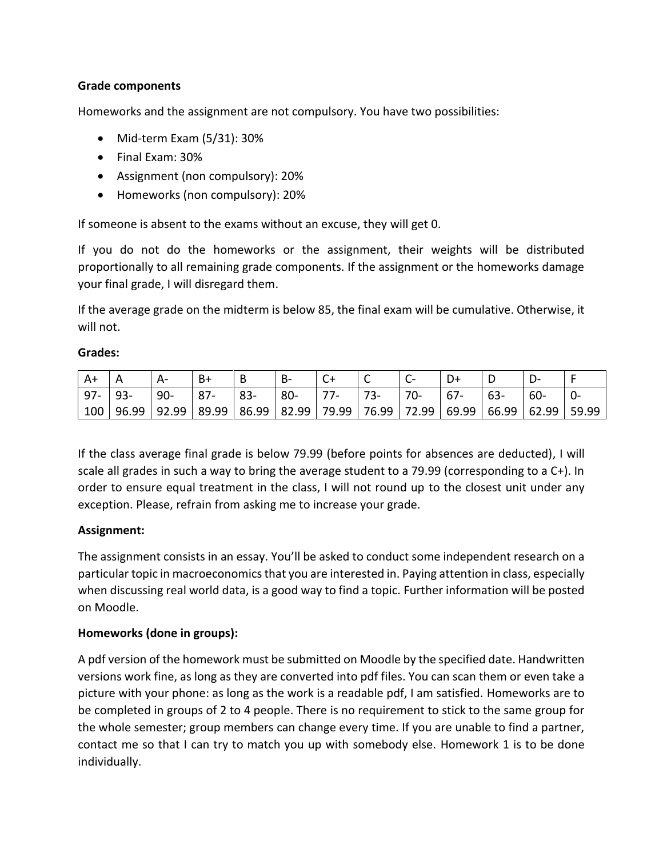# **Grade components**

Homeworks and the assignment are not compulsory. You have two possibilities:

- Mid-term Exam (5/31): 30%
- Final Exam: 30%
- Assignment (non compulsory): 20%
- Homeworks (non compulsory): 20%

If someone is absent to the exams without an excuse, they will get 0.

If you do not do the homeworks or the assignment, their weights will be distributed proportionally to all remaining grade components. If the assignment or the homeworks damage your final grade, I will disregard them.

If the average grade on the midterm is below 85, the final exam will be cumulative. Otherwise, it will not.

## **Grades:**

| $ A+$  |        | $A -$  | B+     |        | B-     |             |                                                                                                     |     |       |       |        |  |
|--------|--------|--------|--------|--------|--------|-------------|-----------------------------------------------------------------------------------------------------|-----|-------|-------|--------|--|
| $97 -$ | $193-$ | $190-$ | $ 87-$ | $ 83-$ | $80 -$ | $\vert$ 77- |                                                                                                     | 70- | $67-$ | $63-$ | $60 -$ |  |
|        |        |        |        |        |        |             | 100   96.99   92.99   89.99   86.99   82.99   79.99   76.99   72.99   69.99   66.99   62.99   59.99 |     |       |       |        |  |

If the class average final grade is below 79.99 (before points for absences are deducted), I will scale all grades in such a way to bring the average student to a 79.99 (corresponding to a C+). In order to ensure equal treatment in the class, I will not round up to the closest unit under any exception. Please, refrain from asking me to increase your grade.

## **Assignment:**

The assignment consists in an essay. You'll be asked to conduct some independent research on a particular topic in macroeconomics that you are interested in. Paying attention in class, especially when discussing real world data, is a good way to find a topic. Further information will be posted on Moodle.

## **Homeworks (done in groups):**

A pdf version of the homework must be submitted on Moodle by the specified date. Handwritten versions work fine, as long as they are converted into pdf files. You can scan them or even take a picture with your phone: as long as the work is a readable pdf, I am satisfied. Homeworks are to be completed in groups of 2 to 4 people. There is no requirement to stick to the same group for the whole semester; group members can change every time. If you are unable to find a partner, contact me so that I can try to match you up with somebody else. Homework 1 is to be done individually.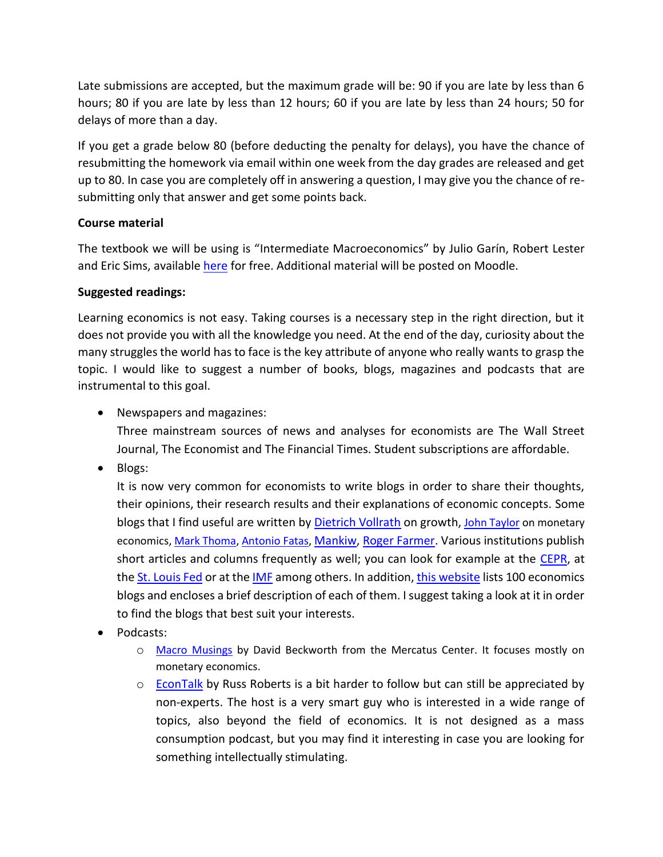Late submissions are accepted, but the maximum grade will be: 90 if you are late by less than 6 hours; 80 if you are late by less than 12 hours; 60 if you are late by less than 24 hours; 50 for delays of more than a day.

If you get a grade below 80 (before deducting the penalty for delays), you have the chance of resubmitting the homework via email within one week from the day grades are released and get up to 80. In case you are completely off in answering a question, I may give you the chance of resubmitting only that answer and get some points back.

# **Course material**

The textbook we will be using is "Intermediate Macroeconomics" by Julio Garín, Robert Lester and Eric Sims, available [here](https://www3.nd.edu/~esims1/gls_int_macro.pdf) for free. Additional material will be posted on Moodle.

# **Suggested readings:**

Learning economics is not easy. Taking courses is a necessary step in the right direction, but it does not provide you with all the knowledge you need. At the end of the day, curiosity about the many struggles the world has to face is the key attribute of anyone who really wants to grasp the topic. I would like to suggest a number of books, blogs, magazines and podcasts that are instrumental to this goal.

• Newspapers and magazines:

Three mainstream sources of news and analyses for economists are The Wall Street Journal, The Economist and The Financial Times. Student subscriptions are affordable.

• Blogs:

It is now very common for economists to write blogs in order to share their thoughts, their opinions, their research results and their explanations of economic concepts. Some blogs that I find useful are written by [Dietrich Vollrath](https://growthecon.com/blog/) on growth, [John Taylor](https://economicsone.com/) on monetary economics, [Mark Thoma,](https://economistsview.typepad.com/economistsview/) [Antonio Fatas,](http://antoniofatas.blogspot.com/) [Mankiw,](http://gregmankiw.blogspot.com/) [Roger Farmer.](http://www.rogerfarmer.com/rogerfarmerblog) Various institutions publish short articles and columns frequently as well; you can look for example at the [CEPR,](https://voxeu.org/) at th[e St. Louis Fed](https://fredblog.stlouisfed.org/) or at the [IMF](https://blogs.imf.org/) among others. In addition, [this website](https://www.intelligenteconomist.com/economics-blogs/) lists 100 economics blogs and encloses a brief description of each of them. I suggest taking a look at it in order to find the blogs that best suit your interests.

- Podcasts:
	- o [Macro Musings](https://soundcloud.com/macro-musings) by David Beckworth from the Mercatus Center. It focuses mostly on monetary economics.
	- o [EconTalk](http://www.econtalk.org/) by Russ Roberts is a bit harder to follow but can still be appreciated by non-experts. The host is a very smart guy who is interested in a wide range of topics, also beyond the field of economics. It is not designed as a mass consumption podcast, but you may find it interesting in case you are looking for something intellectually stimulating.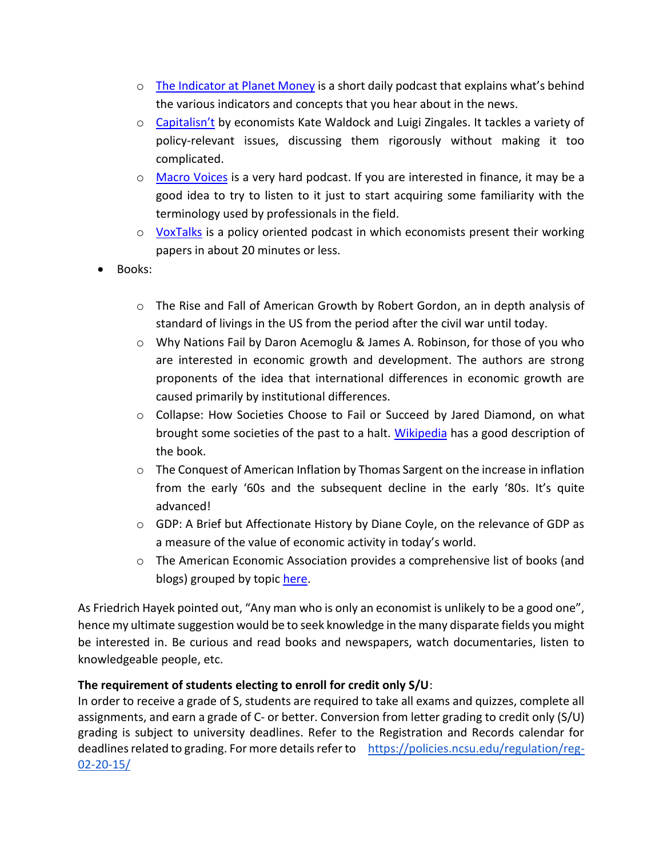- $\circ$  [The Indicator at Planet Money](https://www.npr.org/sections/money/567724614/the-indicator) is a short daily podcast that explains what's behind the various indicators and concepts that you hear about in the news.
- o [Capitalisn't](https://www.capitalisnt.com/) by economists Kate Waldock and Luigi Zingales. It tackles a variety of policy-relevant issues, discussing them rigorously without making it too complicated.
- o [Macro Voices](https://www.macrovoices.com/) is a very hard podcast. If you are interested in finance, it may be a good idea to try to listen to it just to start acquiring some familiarity with the terminology used by professionals in the field.
- o [VoxTalks](https://voxeu.org/pages/vox-talks) is a policy oriented podcast in which economists present their working papers in about 20 minutes or less.
- Books:
	- o The Rise and Fall of American Growth by Robert Gordon, an in depth analysis of standard of livings in the US from the period after the civil war until today.
	- o Why Nations Fail by Daron Acemoglu & James A. Robinson, for those of you who are interested in economic growth and development. The authors are strong proponents of the idea that international differences in economic growth are caused primarily by institutional differences.
	- o Collapse: How Societies Choose to Fail or Succeed by Jared Diamond, on what brought some societies of the past to a halt. [Wikipedia](https://en.wikipedia.org/wiki/Collapse:_How_Societies_Choose_to_Fail_or_Succeed) has a good description of the book.
	- o The Conquest of American Inflation by Thomas Sargent on the increase in inflation from the early '60s and the subsequent decline in the early '80s. It's quite advanced!
	- $\circ$  GDP: A Brief but Affectionate History by Diane Coyle, on the relevance of GDP as a measure of the value of economic activity in today's world.
	- o The American Economic Association provides a comprehensive list of books (and blogs) grouped by topic [here.](https://www.aeaweb.org/resources/students/books-and-links)

As Friedrich Hayek pointed out, "Any man who is only an economist is unlikely to be a good one", hence my ultimate suggestion would be to seek knowledge in the many disparate fields you might be interested in. Be curious and read books and newspapers, watch documentaries, listen to knowledgeable people, etc.

# **The requirement of students electing to enroll for credit only S/U**:

In order to receive a grade of S, students are required to take all exams and quizzes, complete all assignments, and earn a grade of C- or better. Conversion from letter grading to credit only (S/U) grading is subject to university deadlines. Refer to the Registration and Records calendar for deadlines related to grading. For more details refer to [https://policies.ncsu.edu/regulation/reg-](https://policies.ncsu.edu/regulation/reg-02-20-15/)[02-20-15/](https://policies.ncsu.edu/regulation/reg-02-20-15/)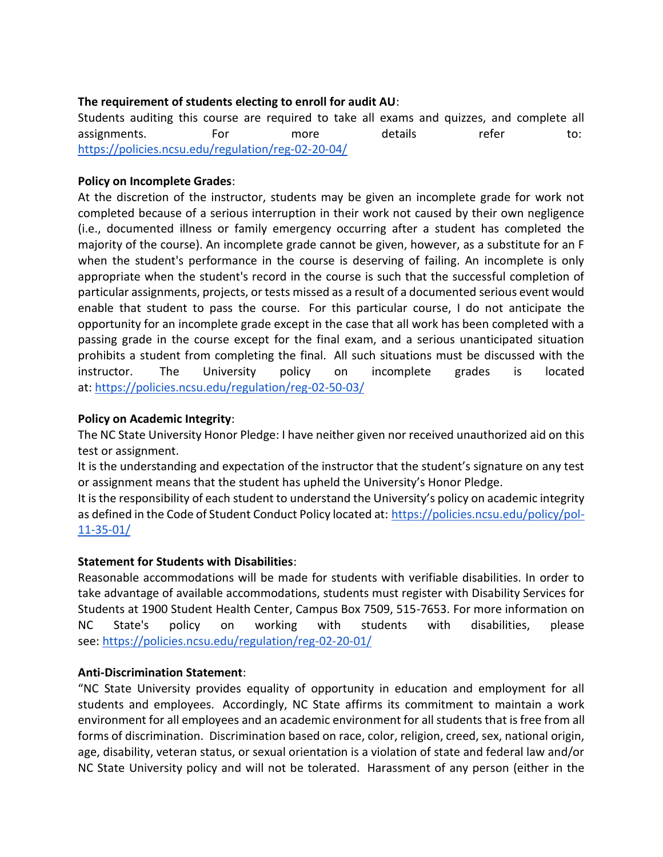# **The requirement of students electing to enroll for audit AU**:

Students auditing this course are required to take all exams and quizzes, and complete all assignments. For more details refer to: <https://policies.ncsu.edu/regulation/reg-02-20-04/>

## **Policy on Incomplete Grades**:

At the discretion of the instructor, students may be given an incomplete grade for work not completed because of a serious interruption in their work not caused by their own negligence (i.e., documented illness or family emergency occurring after a student has completed the majority of the course). An incomplete grade cannot be given, however, as a substitute for an F when the student's performance in the course is deserving of failing. An incomplete is only appropriate when the student's record in the course is such that the successful completion of particular assignments, projects, or tests missed as a result of a documented serious event would enable that student to pass the course. For this particular course, I do not anticipate the opportunity for an incomplete grade except in the case that all work has been completed with a passing grade in the course except for the final exam, and a serious unanticipated situation prohibits a student from completing the final. All such situations must be discussed with the instructor. The University policy on incomplete grades is located at: <https://policies.ncsu.edu/regulation/reg-02-50-03/>

## **Policy on Academic Integrity**:

The NC State University Honor Pledge: I have neither given nor received unauthorized aid on this test or assignment.

It is the understanding and expectation of the instructor that the student's signature on any test or assignment means that the student has upheld the University's Honor Pledge.

It is the responsibility of each student to understand the University's policy on academic integrity as defined in the Code of Student Conduct Policy located at: [https://policies.ncsu.edu/policy/pol-](https://policies.ncsu.edu/policy/pol-11-35-01/)[11-35-01/](https://policies.ncsu.edu/policy/pol-11-35-01/)

## **Statement for Students with Disabilities**:

Reasonable accommodations will be made for students with verifiable disabilities. In order to take advantage of available accommodations, students must register with Disability Services for Students at 1900 Student Health Center, Campus Box 7509, 515-7653. For more information on NC State's policy on working with students with disabilities, please see: <https://policies.ncsu.edu/regulation/reg-02-20-01/>

## **Anti-Discrimination Statement**:

"NC State University provides equality of opportunity in education and employment for all students and employees. Accordingly, NC State affirms its commitment to maintain a work environment for all employees and an academic environment for all students that is free from all forms of discrimination. Discrimination based on race, color, religion, creed, sex, national origin, age, disability, veteran status, or sexual orientation is a violation of state and federal law and/or NC State University policy and will not be tolerated. Harassment of any person (either in the